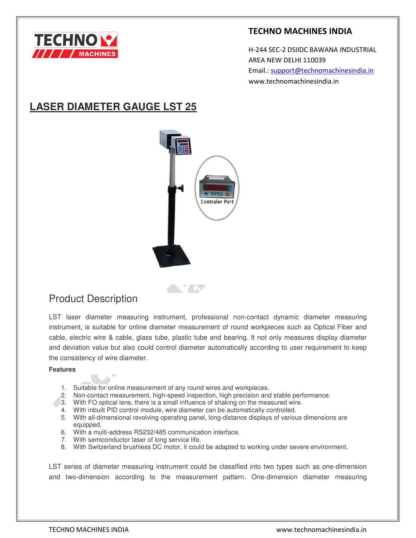

### **TECHNO MACHINES INDIA**

 H-244 SEC-2 DSIIDC BAWANA INDUSTRIAL AREA NEW DELHI 110039 Email.: support@technomachinesindia.in www.technomachinesindia.in

# **LASER DIAMETER GAUGE LST 25**



any avv

# Product Description

LST laser diameter measuring instrument, professional non-contact dynamic diameter measuring instrument, is suitable for online diameter measurement of round workpieces such as Optical Fiber and cable, electric wire & cable, glass tube, plastic tube and bearing. It not only measures display diameter and deviation value but also could control diameter automatically according to user requirement to keep the consistency of wire diameter.

#### **Features**

- 1. Suitable for online measurement of any round wires and workpieces.
- 2. Non-contact measurement, high-speed inspection, high precision and stable performance.
- 3. With FO optical lens, there is a small influence of shaking on the measured wire.
	- 4. With inbuilt PID control module, wire diameter can be automatically controlled.
	- 5. With all-dimensional revolving operating panel, long-distance displays of various dimensions are equipped.
	- 6. With a multi-address RS232/485 communication interface.
	- 7. With semiconductor laser of long service life.
	- 8. With Switzerland brushless DC motor, it could be adapted to working under severe environment.

LST series of diameter measuring instrument could be classified into two types such as one-dimension and two-dimension according to the measurement pattern. One-dimension diameter measuring